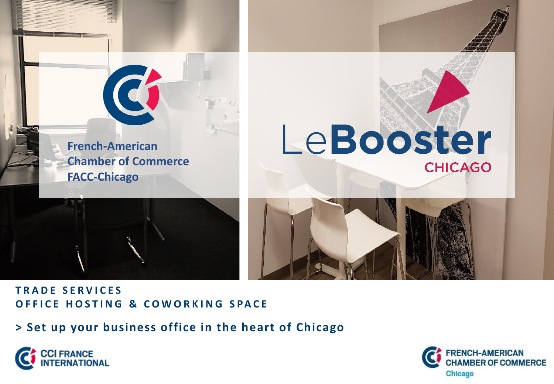







# **T R A D E S E R V I C E S O F F I C E H O S T I N G & C O W O R K I N G S PA C E**

**> Set up your business office in the heart of Chicago**



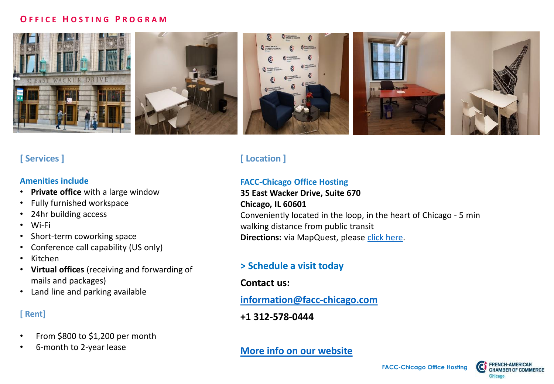#### **O F F I C E H O S T I N G P R O G R A M**



# **[ Services ]**

#### **Amenities include**

- **Private office** with a large window
- Fully furnished workspace
- 24hr building access
- Wi-Fi
- Short-term coworking space
- Conference call capability (US only)
- Kitchen
- **Virtual offices** (receiving and forwarding of mails and packages)
- Land line and parking available

### **[ Rent]**

- From \$800 to \$1,200 per month
- 6-month to 2-year lease

# **[ Location ]**

#### **FACC-Chicago Office Hosting**

#### **35 East Wacker Drive, Suite 670 Chicago, IL 60601** Conveniently located in the loop, in the heart of Chicago - 5 min walking distance from public transit **Directions:** via MapQuest, please [click here](http://www.mapquest.com/us/il/chicago/60601-2100/35-e-wacker-dr-41.886897,-87.626965).

# **> Schedule a visit today**

### **Contact us:**

### **[information@facc-chicago.com](mailto:information@facc-chicago.com)**

### **+1 312-578-0444**

### **[More info on our website](https://www.facc-chicago.com/services/lebooster-chicago-office-hosting-and-co-working.html)**

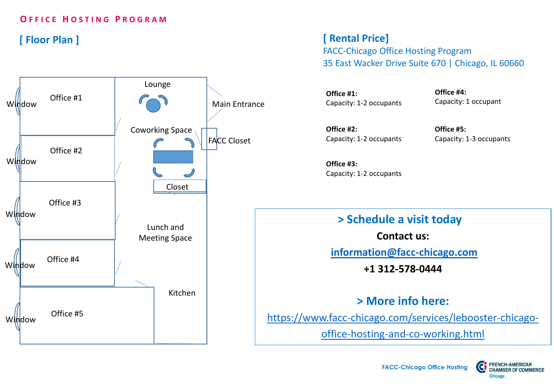### **O F F I C E H O S T I N G P R O G R A M**

# **[ Floor Plan ]**



**[ Rental Price]** 

FACC-Chicago Office Hosting Program 35 East Wacker Drive Suite 670 | Chicago, IL 60660

**Office #1:**  Capacity: 1-2 occupants

**Office #4:** Capacity: 1 occupant

**Office #2:**  Capacity: 1-2 occupants

**Office #5:**  Capacity: 1-3 occupants

**Office #3:**  Capacity: 1-2 occupants

**> Schedule a visit today <sup>a</sup>**

**Contact us:**

**[information@facc-chicago.com](mailto:information@facc-chicago.com)**

**+1 312-578-0444**

**> More info here:**

[https://www.facc-chicago.com/services/lebooster-chicago-](https://www.facc-chicago.com/services/lebooster-chicago-office-hosting-and-co-working.html)

office-hosting-and-co-working.html